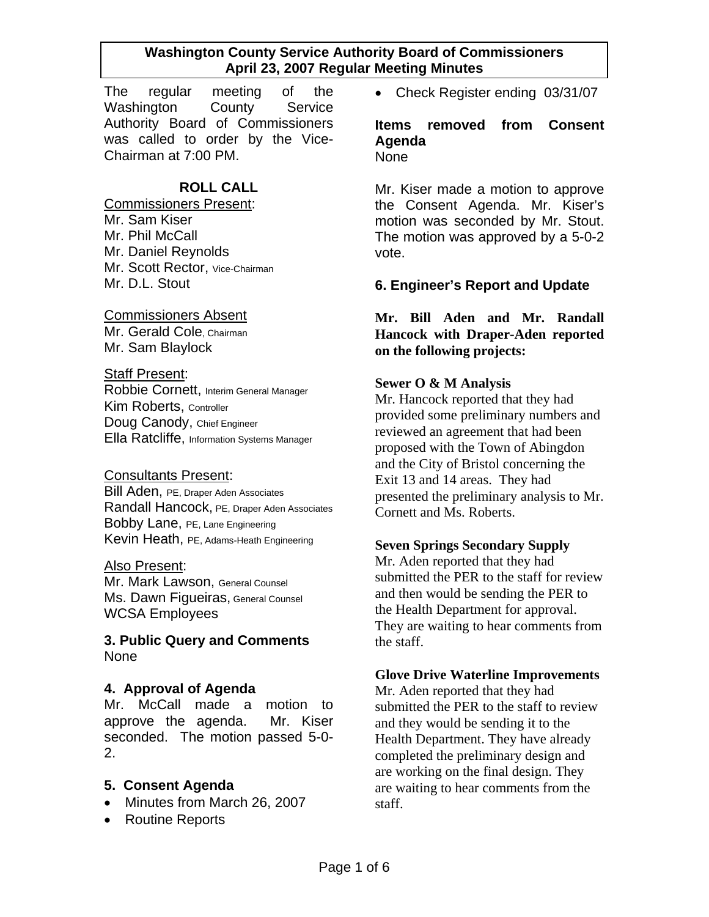The regular meeting of the Washington County Service Authority Board of Commissioners was called to order by the Vice-Chairman at 7:00 PM.

# **ROLL CALL**

Commissioners Present: Mr. Sam Kiser Mr. Phil McCall Mr. Daniel Reynolds Mr. Scott Rector, Vice-Chairman Mr. D.L. Stout

### Commissioners Absent

Mr. Gerald Cole, Chairman Mr. Sam Blaylock

#### Staff Present:

Robbie Cornett, Interim General Manager Kim Roberts, Controller Doug Canody, Chief Engineer Ella Ratcliffe, Information Systems Manager

### Consultants Present:

Bill Aden, PE, Draper Aden Associates Randall Hancock, PE, Draper Aden Associates Bobby Lane, PE, Lane Engineering Kevin Heath, PE, Adams-Heath Engineering

### Also Present:

Mr. Mark Lawson, General Counsel Ms. Dawn Figueiras, General Counsel WCSA Employees

### **3. Public Query and Comments**  None

### **4. Approval of Agenda**

Mr. McCall made a motion to approve the agenda. Mr. Kiser seconded. The motion passed 5-0- 2.

### **5. Consent Agenda**

- Minutes from March 26, 2007
- Routine Reports

• Check Register ending 03/31/07

**Items removed from Consent Agenda None** 

Mr. Kiser made a motion to approve the Consent Agenda. Mr. Kiser's motion was seconded by Mr. Stout. The motion was approved by a 5-0-2 vote.

### **6. Engineer's Report and Update**

**Mr. Bill Aden and Mr. Randall Hancock with Draper-Aden reported on the following projects:** 

### **Sewer O & M Analysis**

Mr. Hancock reported that they had provided some preliminary numbers and reviewed an agreement that had been proposed with the Town of Abingdon and the City of Bristol concerning the Exit 13 and 14 areas. They had presented the preliminary analysis to Mr. Cornett and Ms. Roberts.

### **Seven Springs Secondary Supply**

Mr. Aden reported that they had submitted the PER to the staff for review and then would be sending the PER to the Health Department for approval. They are waiting to hear comments from the staff.

### **Glove Drive Waterline Improvements**

Mr. Aden reported that they had submitted the PER to the staff to review and they would be sending it to the Health Department. They have already completed the preliminary design and are working on the final design. They are waiting to hear comments from the staff.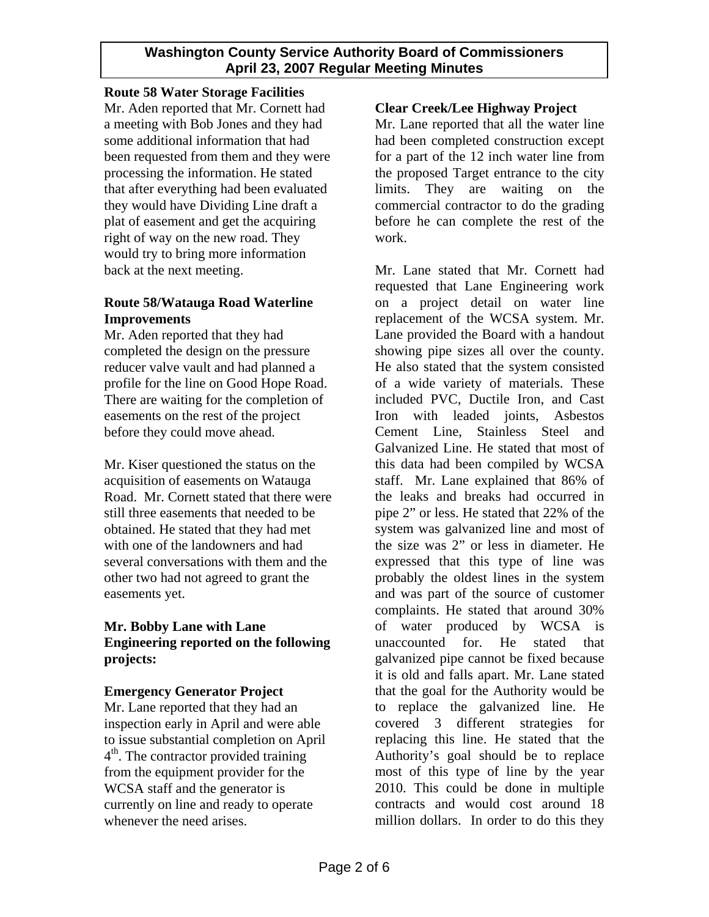### **Route 58 Water Storage Facilities**

Mr. Aden reported that Mr. Cornett had a meeting with Bob Jones and they had some additional information that had been requested from them and they were processing the information. He stated that after everything had been evaluated they would have Dividing Line draft a plat of easement and get the acquiring right of way on the new road. They would try to bring more information back at the next meeting.

# **Route 58/Watauga Road Waterline Improvements**

Mr. Aden reported that they had completed the design on the pressure reducer valve vault and had planned a profile for the line on Good Hope Road. There are waiting for the completion of easements on the rest of the project before they could move ahead.

Mr. Kiser questioned the status on the acquisition of easements on Watauga Road. Mr. Cornett stated that there were still three easements that needed to be obtained. He stated that they had met with one of the landowners and had several conversations with them and the other two had not agreed to grant the easements yet.

### **Mr. Bobby Lane with Lane Engineering reported on the following projects:**

### **Emergency Generator Project**

Mr. Lane reported that they had an inspection early in April and were able to issue substantial completion on April 4<sup>th</sup>. The contractor provided training from the equipment provider for the WCSA staff and the generator is currently on line and ready to operate whenever the need arises.

# **Clear Creek/Lee Highway Project**

Mr. Lane reported that all the water line had been completed construction except for a part of the 12 inch water line from the proposed Target entrance to the city limits. They are waiting on the commercial contractor to do the grading before he can complete the rest of the work.

Mr. Lane stated that Mr. Cornett had requested that Lane Engineering work on a project detail on water line replacement of the WCSA system. Mr. Lane provided the Board with a handout showing pipe sizes all over the county. He also stated that the system consisted of a wide variety of materials. These included PVC, Ductile Iron, and Cast Iron with leaded joints, Asbestos Cement Line, Stainless Steel and Galvanized Line. He stated that most of this data had been compiled by WCSA staff. Mr. Lane explained that 86% of the leaks and breaks had occurred in pipe 2" or less. He stated that 22% of the system was galvanized line and most of the size was 2" or less in diameter. He expressed that this type of line was probably the oldest lines in the system and was part of the source of customer complaints. He stated that around 30% of water produced by WCSA is unaccounted for. He stated that galvanized pipe cannot be fixed because it is old and falls apart. Mr. Lane stated that the goal for the Authority would be to replace the galvanized line. He covered 3 different strategies for replacing this line. He stated that the Authority's goal should be to replace most of this type of line by the year 2010. This could be done in multiple contracts and would cost around 18 million dollars. In order to do this they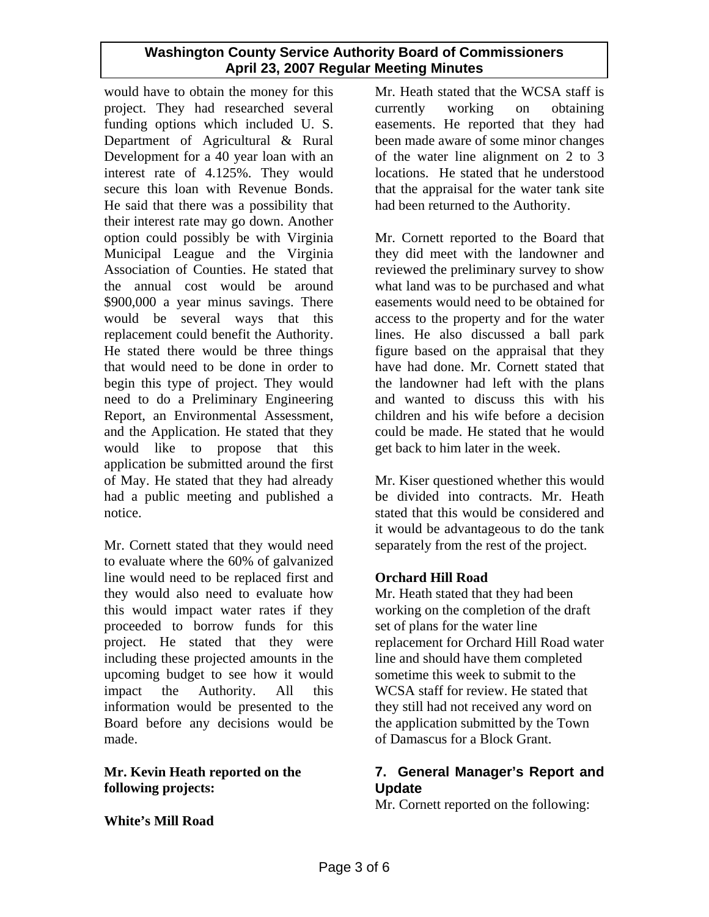would have to obtain the money for this project. They had researched several funding options which included U. S. Department of Agricultural & Rural Development for a 40 year loan with an interest rate of 4.125%. They would secure this loan with Revenue Bonds. He said that there was a possibility that their interest rate may go down. Another option could possibly be with Virginia Municipal League and the Virginia Association of Counties. He stated that the annual cost would be around \$900,000 a year minus savings. There would be several ways that this replacement could benefit the Authority. He stated there would be three things that would need to be done in order to begin this type of project. They would need to do a Preliminary Engineering Report, an Environmental Assessment, and the Application. He stated that they would like to propose that this application be submitted around the first of May. He stated that they had already had a public meeting and published a notice.

Mr. Cornett stated that they would need to evaluate where the 60% of galvanized line would need to be replaced first and they would also need to evaluate how this would impact water rates if they proceeded to borrow funds for this project. He stated that they were including these projected amounts in the upcoming budget to see how it would impact the Authority. All this information would be presented to the Board before any decisions would be made.

### **Mr. Kevin Heath reported on the following projects:**

**White's Mill Road** 

Mr. Heath stated that the WCSA staff is currently working on obtaining easements. He reported that they had been made aware of some minor changes of the water line alignment on 2 to 3 locations. He stated that he understood that the appraisal for the water tank site had been returned to the Authority.

Mr. Cornett reported to the Board that they did meet with the landowner and reviewed the preliminary survey to show what land was to be purchased and what easements would need to be obtained for access to the property and for the water lines. He also discussed a ball park figure based on the appraisal that they have had done. Mr. Cornett stated that the landowner had left with the plans and wanted to discuss this with his children and his wife before a decision could be made. He stated that he would get back to him later in the week.

Mr. Kiser questioned whether this would be divided into contracts. Mr. Heath stated that this would be considered and it would be advantageous to do the tank separately from the rest of the project.

# **Orchard Hill Road**

Mr. Heath stated that they had been working on the completion of the draft set of plans for the water line replacement for Orchard Hill Road water line and should have them completed sometime this week to submit to the WCSA staff for review. He stated that they still had not received any word on the application submitted by the Town of Damascus for a Block Grant.

# **7. General Manager's Report and Update**

Mr. Cornett reported on the following: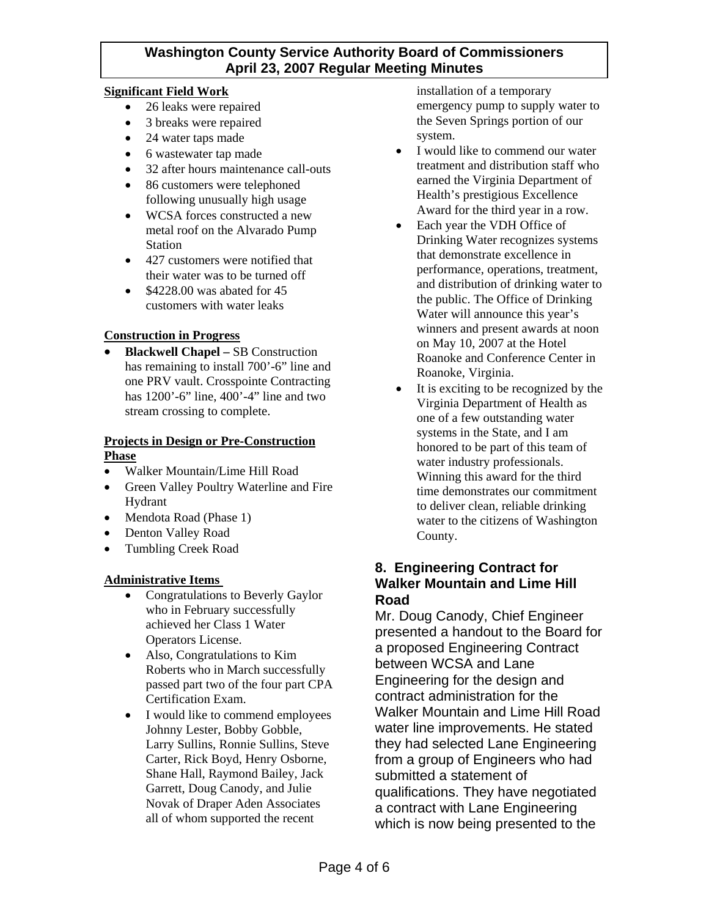### **Significant Field Work**

- 26 leaks were repaired
- 3 breaks were repaired
- 24 water taps made
- 6 wastewater tap made
- 32 after hours maintenance call-outs
- 86 customers were telephoned following unusually high usage
- WCSA forces constructed a new metal roof on the Alvarado Pump Station
- 427 customers were notified that their water was to be turned off
- \$4228.00 was abated for 45 customers with water leaks

### **Construction in Progress**

• **Blackwell Chapel –** SB Construction has remaining to install 700'-6" line and one PRV vault. Crosspointe Contracting has 1200'-6" line, 400'-4" line and two stream crossing to complete.

#### **Projects in Design or Pre-Construction Phase**

- Walker Mountain/Lime Hill Road
- Green Valley Poultry Waterline and Fire Hydrant
- Mendota Road (Phase 1)
- Denton Valley Road
- Tumbling Creek Road

### **Administrative Items**

- Congratulations to Beverly Gaylor who in February successfully achieved her Class 1 Water Operators License.
- Also, Congratulations to Kim Roberts who in March successfully passed part two of the four part CPA Certification Exam.
- I would like to commend employees Johnny Lester, Bobby Gobble, Larry Sullins, Ronnie Sullins, Steve Carter, Rick Boyd, Henry Osborne, Shane Hall, Raymond Bailey, Jack Garrett, Doug Canody, and Julie Novak of Draper Aden Associates all of whom supported the recent

installation of a temporary emergency pump to supply water to the Seven Springs portion of our system.

- I would like to commend our water treatment and distribution staff who earned the Virginia Department of Health's prestigious Excellence Award for the third year in a row.
- Each year the VDH Office of Drinking Water recognizes systems that demonstrate excellence in performance, operations, treatment, and distribution of drinking water to the public. The Office of Drinking Water will announce this year's winners and present awards at noon on May 10, 2007 at the Hotel Roanoke and Conference Center in Roanoke, Virginia.
- It is exciting to be recognized by the Virginia Department of Health as one of a few outstanding water systems in the State, and I am honored to be part of this team of water industry professionals. Winning this award for the third time demonstrates our commitment to deliver clean, reliable drinking water to the citizens of Washington County.

# **8. Engineering Contract for Walker Mountain and Lime Hill Road**

Mr. Doug Canody, Chief Engineer presented a handout to the Board for a proposed Engineering Contract between WCSA and Lane Engineering for the design and contract administration for the Walker Mountain and Lime Hill Road water line improvements. He stated they had selected Lane Engineering from a group of Engineers who had submitted a statement of qualifications. They have negotiated a contract with Lane Engineering which is now being presented to the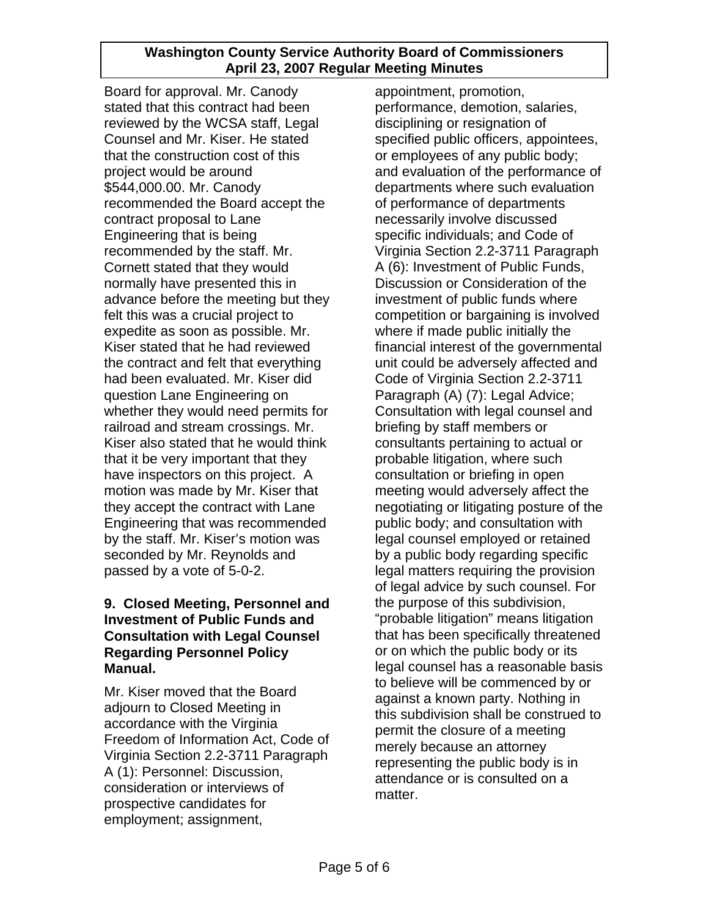Board for approval. Mr. Canody stated that this contract had been reviewed by the WCSA staff, Legal Counsel and Mr. Kiser. He stated that the construction cost of this project would be around \$544,000.00. Mr. Canody recommended the Board accept the contract proposal to Lane Engineering that is being recommended by the staff. Mr. Cornett stated that they would normally have presented this in advance before the meeting but they felt this was a crucial project to expedite as soon as possible. Mr. Kiser stated that he had reviewed the contract and felt that everything had been evaluated. Mr. Kiser did question Lane Engineering on whether they would need permits for railroad and stream crossings. Mr. Kiser also stated that he would think that it be very important that they have inspectors on this project. A motion was made by Mr. Kiser that they accept the contract with Lane Engineering that was recommended by the staff. Mr. Kiser's motion was seconded by Mr. Reynolds and passed by a vote of 5-0-2.

### **9. Closed Meeting, Personnel and Investment of Public Funds and Consultation with Legal Counsel Regarding Personnel Policy Manual.**

Mr. Kiser moved that the Board adjourn to Closed Meeting in accordance with the Virginia Freedom of Information Act, Code of Virginia Section 2.2-3711 Paragraph A (1): Personnel: Discussion, consideration or interviews of prospective candidates for employment; assignment,

appointment, promotion, performance, demotion, salaries, disciplining or resignation of specified public officers, appointees, or employees of any public body; and evaluation of the performance of departments where such evaluation of performance of departments necessarily involve discussed specific individuals; and Code of Virginia Section 2.2-3711 Paragraph A (6): Investment of Public Funds, Discussion or Consideration of the investment of public funds where competition or bargaining is involved where if made public initially the financial interest of the governmental unit could be adversely affected and Code of Virginia Section 2.2-3711 Paragraph (A) (7): Legal Advice; Consultation with legal counsel and briefing by staff members or consultants pertaining to actual or probable litigation, where such consultation or briefing in open meeting would adversely affect the negotiating or litigating posture of the public body; and consultation with legal counsel employed or retained by a public body regarding specific legal matters requiring the provision of legal advice by such counsel. For the purpose of this subdivision, "probable litigation" means litigation that has been specifically threatened or on which the public body or its legal counsel has a reasonable basis to believe will be commenced by or against a known party. Nothing in this subdivision shall be construed to permit the closure of a meeting merely because an attorney representing the public body is in attendance or is consulted on a matter.